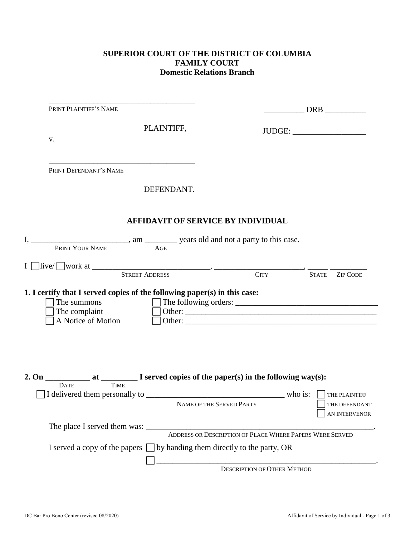## **SUPERIOR COURT OF THE DISTRICT OF COLUMBIA FAMILY COURT Domestic Relations Branch**

| PRINT PLAINTIFF'S NAME                                                                                                                                                                                                                                                                                                                                                                                                                                                            |            |                                                                            |                                    |              | DRB                            |
|-----------------------------------------------------------------------------------------------------------------------------------------------------------------------------------------------------------------------------------------------------------------------------------------------------------------------------------------------------------------------------------------------------------------------------------------------------------------------------------|------------|----------------------------------------------------------------------------|------------------------------------|--------------|--------------------------------|
|                                                                                                                                                                                                                                                                                                                                                                                                                                                                                   | PLAINTIFF, |                                                                            |                                    |              |                                |
|                                                                                                                                                                                                                                                                                                                                                                                                                                                                                   |            |                                                                            |                                    |              |                                |
| V.                                                                                                                                                                                                                                                                                                                                                                                                                                                                                |            |                                                                            |                                    |              |                                |
|                                                                                                                                                                                                                                                                                                                                                                                                                                                                                   |            |                                                                            |                                    |              |                                |
| PRINT DEFENDANT'S NAME                                                                                                                                                                                                                                                                                                                                                                                                                                                            |            |                                                                            |                                    |              |                                |
|                                                                                                                                                                                                                                                                                                                                                                                                                                                                                   | DEFENDANT. |                                                                            |                                    |              |                                |
|                                                                                                                                                                                                                                                                                                                                                                                                                                                                                   |            | <b>AFFIDAVIT OF SERVICE BY INDIVIDUAL</b>                                  |                                    |              |                                |
|                                                                                                                                                                                                                                                                                                                                                                                                                                                                                   |            |                                                                            |                                    |              |                                |
| PRINT YOUR NAME                                                                                                                                                                                                                                                                                                                                                                                                                                                                   | AGE        |                                                                            |                                    |              |                                |
|                                                                                                                                                                                                                                                                                                                                                                                                                                                                                   |            |                                                                            |                                    |              |                                |
| $I \Box$ live/ $\Box$ work at $\Box$ STREET ADDRESS CITY                                                                                                                                                                                                                                                                                                                                                                                                                          |            |                                                                            |                                    |              |                                |
|                                                                                                                                                                                                                                                                                                                                                                                                                                                                                   |            |                                                                            |                                    | <b>STATE</b> | <b>ZIP CODE</b>                |
| The complaint<br>A Notice of Motion<br>$\frac{1}{\sqrt{1-\frac{1}{\sqrt{1-\frac{1}{\sqrt{1-\frac{1}{\sqrt{1-\frac{1}{\sqrt{1-\frac{1}{\sqrt{1-\frac{1}{\sqrt{1-\frac{1}{\sqrt{1-\frac{1}{\sqrt{1-\frac{1}{\sqrt{1-\frac{1}{\sqrt{1-\frac{1}{\sqrt{1-\frac{1}{\sqrt{1-\frac{1}{\sqrt{1-\frac{1}{\sqrt{1-\frac{1}{\sqrt{1-\frac{1}{\sqrt{1-\frac{1}{\sqrt{1-\frac{1}{\sqrt{1-\frac{1}{\sqrt{1-\frac{1}{\sqrt{1-\frac{1}{\sqrt{1-\frac{1}{\sqrt{1-\frac{1}{\sqrt{1-\frac{1$<br>2. On |            |                                                                            |                                    |              |                                |
| <b>DATE</b><br><b>TIME</b>                                                                                                                                                                                                                                                                                                                                                                                                                                                        |            |                                                                            |                                    |              |                                |
|                                                                                                                                                                                                                                                                                                                                                                                                                                                                                   |            | NAME OF THE SERVED PARTY                                                   |                                    |              | THE PLAINTIFF<br>THE DEFENDANT |
|                                                                                                                                                                                                                                                                                                                                                                                                                                                                                   |            |                                                                            |                                    |              | AN INTERVENOR                  |
|                                                                                                                                                                                                                                                                                                                                                                                                                                                                                   |            |                                                                            |                                    |              |                                |
| The place I served them was:<br>ADDRESS OR DESCRIPTION OF PLACE WHERE PAPERS WERE SERVED                                                                                                                                                                                                                                                                                                                                                                                          |            |                                                                            |                                    |              |                                |
|                                                                                                                                                                                                                                                                                                                                                                                                                                                                                   |            |                                                                            |                                    |              |                                |
| I served a copy of the papers $\Box$ by handing them directly to the party, OR                                                                                                                                                                                                                                                                                                                                                                                                    |            |                                                                            |                                    |              |                                |
|                                                                                                                                                                                                                                                                                                                                                                                                                                                                                   |            |                                                                            |                                    |              |                                |
|                                                                                                                                                                                                                                                                                                                                                                                                                                                                                   |            | <u> 1980 - Jan James James Barbara, politik eta politikaria (h. 1905).</u> | <b>DESCRIPTION OF OTHER METHOD</b> |              |                                |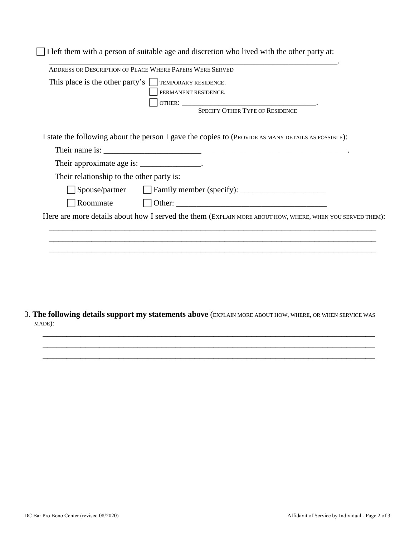|                                             | This place is the other party's $\Box$ TEMPORARY RESIDENCE.                                              |
|---------------------------------------------|----------------------------------------------------------------------------------------------------------|
|                                             | PERMANENT RESIDENCE.                                                                                     |
|                                             |                                                                                                          |
|                                             | I state the following about the person I gave the copies to (PROVIDE AS MANY DETAILS AS POSSIBLE):       |
|                                             | Their name is:                                                                                           |
| Their approximate age is: ________________. |                                                                                                          |
| Their relationship to the other party is:   |                                                                                                          |
|                                             |                                                                                                          |
|                                             | Roommate $\Box$ Other: $\Box$ Other:                                                                     |
|                                             | Here are more details about how I served the them (EXPLAIN MORE ABOUT HOW, WHERE, WHEN YOU SERVED THEM): |
|                                             |                                                                                                          |
|                                             |                                                                                                          |
|                                             |                                                                                                          |

3. **The following details support my statements above** (EXPLAIN MORE ABOUT HOW, WHERE, OR WHEN SERVICE WAS MADE):

\_\_\_\_\_\_\_\_\_\_\_\_\_\_\_\_\_\_\_\_\_\_\_\_\_\_\_\_\_\_\_\_\_\_\_\_\_\_\_\_\_\_\_\_\_\_\_\_\_\_\_\_\_\_\_\_\_\_\_\_\_\_\_\_\_\_\_\_\_\_ \_\_\_\_\_\_\_\_\_\_\_\_\_\_\_\_\_\_\_\_\_\_\_\_\_\_\_\_\_\_\_\_\_\_\_\_\_\_\_\_\_\_\_\_\_\_\_\_\_\_\_\_\_\_\_\_\_\_\_\_\_\_\_\_\_\_\_\_\_\_ \_\_\_\_\_\_\_\_\_\_\_\_\_\_\_\_\_\_\_\_\_\_\_\_\_\_\_\_\_\_\_\_\_\_\_\_\_\_\_\_\_\_\_\_\_\_\_\_\_\_\_\_\_\_\_\_\_\_\_\_\_\_\_\_\_\_\_\_\_\_